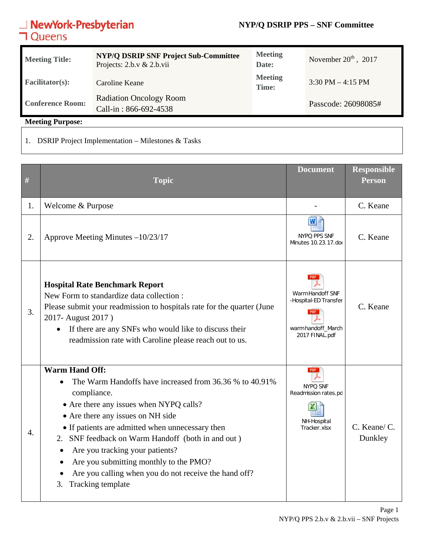### **NYP/Q DSRIP PPS – SNF Committee**

# **NewYork-Presbyterian**<br>**コ**Queens

| <b>Meeting Title:</b>   | <b>NYP/Q DSRIP SNF Project Sub-Committee</b><br>Projects: $2.b.v & 2.b.vii$ | <b>Meeting</b><br>Date: | November $20th$ , 2017              |
|-------------------------|-----------------------------------------------------------------------------|-------------------------|-------------------------------------|
| <b>Facilitator(s):</b>  | Caroline Keane                                                              | <b>Meeting</b><br>Time: | $3:30 \text{ PM} - 4:15 \text{ PM}$ |
| <b>Conference Room:</b> | <b>Radiation Oncology Room</b><br>Call-in: 866-692-4538                     |                         | Passcode: 26098085#                 |

**Meeting Purpose:** 

1. DSRIP Project Implementation – Milestones & Tasks

| #            | <b>Topic</b>                                                                                                                                                                                                                                                                                                                                                                                                                                              | <b>Document</b>                                                                   | <b>Responsible</b><br><b>Person</b> |
|--------------|-----------------------------------------------------------------------------------------------------------------------------------------------------------------------------------------------------------------------------------------------------------------------------------------------------------------------------------------------------------------------------------------------------------------------------------------------------------|-----------------------------------------------------------------------------------|-------------------------------------|
| 1.           | Welcome & Purpose                                                                                                                                                                                                                                                                                                                                                                                                                                         |                                                                                   | C. Keane                            |
| 2.           | Approve Meeting Minutes -10/23/17                                                                                                                                                                                                                                                                                                                                                                                                                         | NYPQ PPS SNF<br>Minutes 10.23.17.doc                                              | C. Keane                            |
| 3.           | <b>Hospital Rate Benchmark Report</b><br>New Form to standardize data collection :<br>Please submit your readmission to hospitals rate for the quarter (June<br>2017- August 2017)<br>If there are any SNFs who would like to discuss their<br>readmission rate with Caroline please reach out to us.                                                                                                                                                     | Warm Handoff SNF<br>-Hospital-ED Transfer<br>warm handoff March<br>2017 FINAL.pdf | C. Keane                            |
| $\mathbf{4}$ | <b>Warm Hand Off:</b><br>The Warm Handoffs have increased from 36.36 % to 40.91%<br>compliance.<br>• Are there any issues when NYPQ calls?<br>• Are there any issues on NH side<br>• If patients are admitted when unnecessary then<br>2. SNF feedback on Warm Handoff (both in and out)<br>Are you tracking your patients?<br>Are you submitting monthly to the PMO?<br>Are you calling when you do not receive the hand off?<br>Tracking template<br>3. | PDF<br>NYPQ SNF<br>Readmission rates.pd<br>NH-Hospital<br>Tracker.xlsx            | C. Keane/ C.<br>Dunkley             |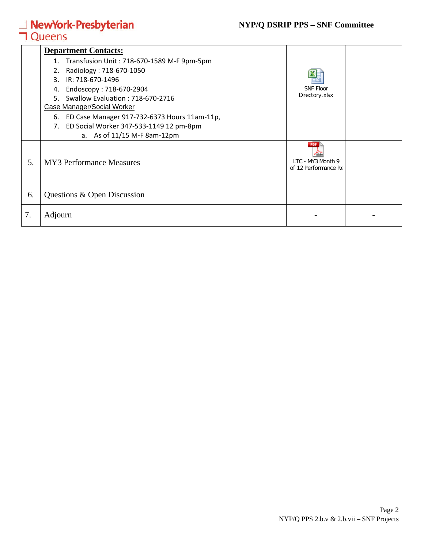## **NewYork-Presbyterian**<br>**コ**Queens

### **NYP/Q DSRIP PPS – SNF Committee**

|    | <b>Department Contacts:</b>                        |                                           |  |
|----|----------------------------------------------------|-------------------------------------------|--|
|    | Transfusion Unit: 718-670-1589 M-F 9pm-5pm<br>1.   |                                           |  |
|    | Radiology: 718-670-1050<br>2.                      |                                           |  |
|    | IR: 718-670-1496<br>3.                             |                                           |  |
|    | Endoscopy: 718-670-2904<br>4.                      | <b>SNF Floor</b>                          |  |
|    | Swallow Evaluation: 718-670-2716<br>5.             | Directory.xlsx                            |  |
|    | <b>Case Manager/Social Worker</b>                  |                                           |  |
|    | ED Case Manager 917-732-6373 Hours 11am-11p,<br>6. |                                           |  |
|    | ED Social Worker 347-533-1149 12 pm-8pm<br>7.      |                                           |  |
|    | a. As of 11/15 M-F 8am-12pm                        |                                           |  |
| 5. | <b>MY3</b> Performance Measures                    | LTC - MY3 Month 9<br>of 12 Performance Re |  |
| 6. | Questions & Open Discussion                        |                                           |  |
| 7. | Adjourn                                            |                                           |  |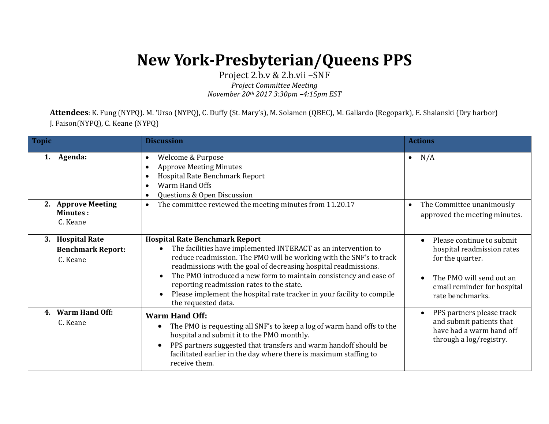## **New York-Presbyterian/Queens PPS**

Project 2.b.v & 2.b.vii –SNF *Project Committee Meeting*

*November 20th 2017 3:30pm –4:15pm EST*

**Attendees**: K. Fung (NYPQ). M. 'Urso (NYPQ), C. Duffy (St. Mary's), M. Solamen (QBEC), M. Gallardo (Regopark), E. Shalanski (Dry harbor) J. Faison(NYPQ), C. Keane (NYPQ)

| <b>Topic</b>                                                       | <b>Discussion</b>                                                                                                                                                                                                                                                                                                                                                                                                                                                    | <b>Actions</b>                                                                                                                                             |
|--------------------------------------------------------------------|----------------------------------------------------------------------------------------------------------------------------------------------------------------------------------------------------------------------------------------------------------------------------------------------------------------------------------------------------------------------------------------------------------------------------------------------------------------------|------------------------------------------------------------------------------------------------------------------------------------------------------------|
| Agenda:<br>1.                                                      | Welcome & Purpose<br><b>Approve Meeting Minutes</b><br>Hospital Rate Benchmark Report<br>Warm Hand Offs<br>Questions & Open Discussion                                                                                                                                                                                                                                                                                                                               | N/A<br>$\bullet$                                                                                                                                           |
| <b>Approve Meeting</b><br>2.<br><b>Minutes:</b><br>C. Keane        | The committee reviewed the meeting minutes from 11.20.17<br>$\bullet$                                                                                                                                                                                                                                                                                                                                                                                                | The Committee unanimously<br>$\bullet$<br>approved the meeting minutes.                                                                                    |
| <b>Hospital Rate</b><br>3.<br><b>Benchmark Report:</b><br>C. Keane | <b>Hospital Rate Benchmark Report</b><br>The facilities have implemented INTERACT as an intervention to<br>reduce readmission. The PMO will be working with the SNF's to track<br>readmissions with the goal of decreasing hospital readmissions.<br>The PMO introduced a new form to maintain consistency and ease of<br>reporting readmission rates to the state.<br>Please implement the hospital rate tracker in your facility to compile<br>the requested data. | Please continue to submit<br>hospital readmission rates<br>for the quarter.<br>The PMO will send out an<br>email reminder for hospital<br>rate benchmarks. |
| <b>Warm Hand Off:</b><br>$4_{-}$<br>C. Keane                       | <b>Warm Hand Off:</b><br>The PMO is requesting all SNF's to keep a log of warm hand offs to the<br>hospital and submit it to the PMO monthly.<br>PPS partners suggested that transfers and warm handoff should be<br>$\bullet$<br>facilitated earlier in the day where there is maximum staffing to<br>receive them.                                                                                                                                                 | PPS partners please track<br>$\bullet$<br>and submit patients that<br>have had a warm hand off<br>through a log/registry.                                  |